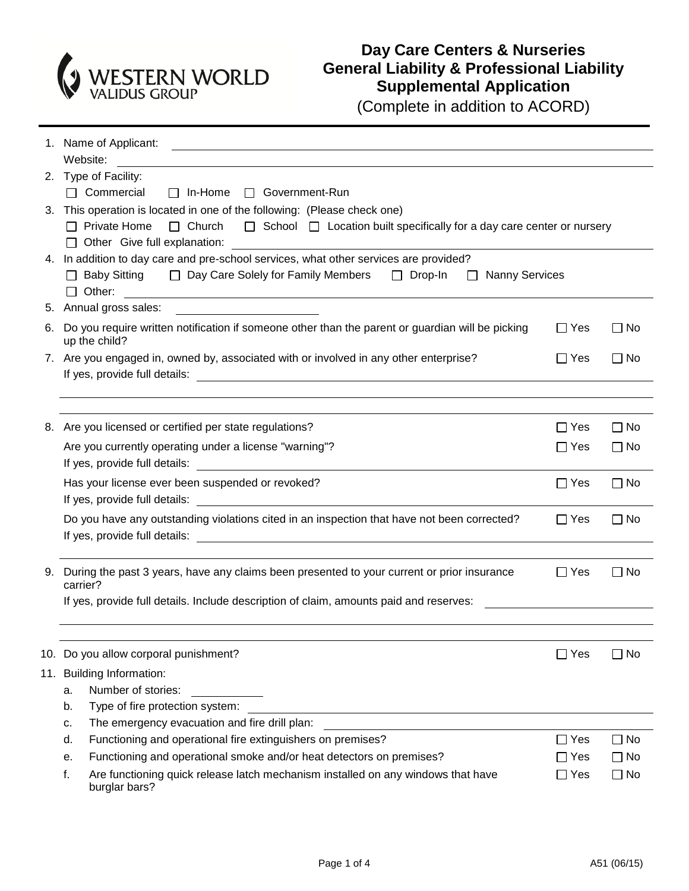

## **Day Care Centers & Nurseries General Liability & Professional Liability Supplemental Application**

(Complete in addition to ACORD)

|                                                                          | 1. Name of Applicant:<br><u>and the control of the control of the control of the control of the control of the control of the control of</u> |                                    |           |  |  |  |  |  |
|--------------------------------------------------------------------------|----------------------------------------------------------------------------------------------------------------------------------------------|------------------------------------|-----------|--|--|--|--|--|
|                                                                          | Website:                                                                                                                                     |                                    |           |  |  |  |  |  |
| 2. Type of Facility:                                                     |                                                                                                                                              |                                    |           |  |  |  |  |  |
|                                                                          | $\Box$ Commercial<br>$\Box$ In-Home<br>□ Government-Run                                                                                      |                                    |           |  |  |  |  |  |
| 3. This operation is located in one of the following: (Please check one) |                                                                                                                                              |                                    |           |  |  |  |  |  |
|                                                                          | $\Box$ Private Home<br>$\Box$ Church<br>$\Box$ School $\Box$ Location built specifically for a day care center or nursery                    |                                    |           |  |  |  |  |  |
|                                                                          | $\Box$ Other Give full explanation:                                                                                                          |                                    |           |  |  |  |  |  |
|                                                                          | 4. In addition to day care and pre-school services, what other services are provided?                                                        |                                    |           |  |  |  |  |  |
|                                                                          | $\Box$ Baby Sitting<br>□ Day Care Solely for Family Members                                                                                  | $\Box$ Drop-In<br>□ Nanny Services |           |  |  |  |  |  |
|                                                                          | $\Box$ Other:<br><u> 1980 - Andrea Andrew Maria (h. 1980).</u>                                                                               |                                    |           |  |  |  |  |  |
|                                                                          | 5. Annual gross sales:<br><u> 1989 - John Stein, amerikansk politiker (</u>                                                                  |                                    |           |  |  |  |  |  |
| 6.                                                                       | Do you require written notification if someone other than the parent or guardian will be picking<br>up the child?                            | $\Box$ Yes                         | $\Box$ No |  |  |  |  |  |
|                                                                          | 7. Are you engaged in, owned by, associated with or involved in any other enterprise?                                                        | $\Box$ Yes                         | $\Box$ No |  |  |  |  |  |
|                                                                          |                                                                                                                                              |                                    |           |  |  |  |  |  |
|                                                                          |                                                                                                                                              |                                    |           |  |  |  |  |  |
|                                                                          | 8. Are you licensed or certified per state regulations?                                                                                      | $\Box$ Yes                         | $\Box$ No |  |  |  |  |  |
|                                                                          | Are you currently operating under a license "warning"?                                                                                       | $\Box$ Yes                         | $\Box$ No |  |  |  |  |  |
|                                                                          | If yes, provide full details: The state of the state of the state of the state of the state of the state of the                              |                                    |           |  |  |  |  |  |
|                                                                          | Has your license ever been suspended or revoked?                                                                                             | $\Box$ Yes                         | $\Box$ No |  |  |  |  |  |
|                                                                          | If yes, provide full details:                                                                                                                |                                    |           |  |  |  |  |  |
|                                                                          | Do you have any outstanding violations cited in an inspection that have not been corrected?<br>$\Box$ Yes<br>$\Box$ No                       |                                    |           |  |  |  |  |  |
|                                                                          |                                                                                                                                              |                                    |           |  |  |  |  |  |
|                                                                          |                                                                                                                                              |                                    |           |  |  |  |  |  |
| 9.                                                                       | During the past 3 years, have any claims been presented to your current or prior insurance                                                   | $\Box$ Yes                         | $\Box$ No |  |  |  |  |  |
|                                                                          | carrier?                                                                                                                                     |                                    |           |  |  |  |  |  |
|                                                                          | If yes, provide full details. Include description of claim, amounts paid and reserves:                                                       |                                    |           |  |  |  |  |  |
|                                                                          |                                                                                                                                              |                                    |           |  |  |  |  |  |
|                                                                          | 10. Do you allow corporal punishment?                                                                                                        | $\Box$ Yes                         | $\Box$ No |  |  |  |  |  |
|                                                                          | 11. Building Information:                                                                                                                    |                                    |           |  |  |  |  |  |
|                                                                          | Number of stories:<br>a.                                                                                                                     |                                    |           |  |  |  |  |  |
|                                                                          | Type of fire protection system:<br>b.                                                                                                        |                                    |           |  |  |  |  |  |
|                                                                          | The emergency evacuation and fire drill plan:<br>c.                                                                                          |                                    |           |  |  |  |  |  |
|                                                                          | Functioning and operational fire extinguishers on premises?<br>d.                                                                            | $\Box$ Yes                         | $\Box$ No |  |  |  |  |  |
|                                                                          | Functioning and operational smoke and/or heat detectors on premises?<br>е.                                                                   | ∏ Yes                              | $\Box$ No |  |  |  |  |  |
|                                                                          | Are functioning quick release latch mechanism installed on any windows that have<br>f.<br>burglar bars?                                      | $\Box$ Yes                         | $\Box$ No |  |  |  |  |  |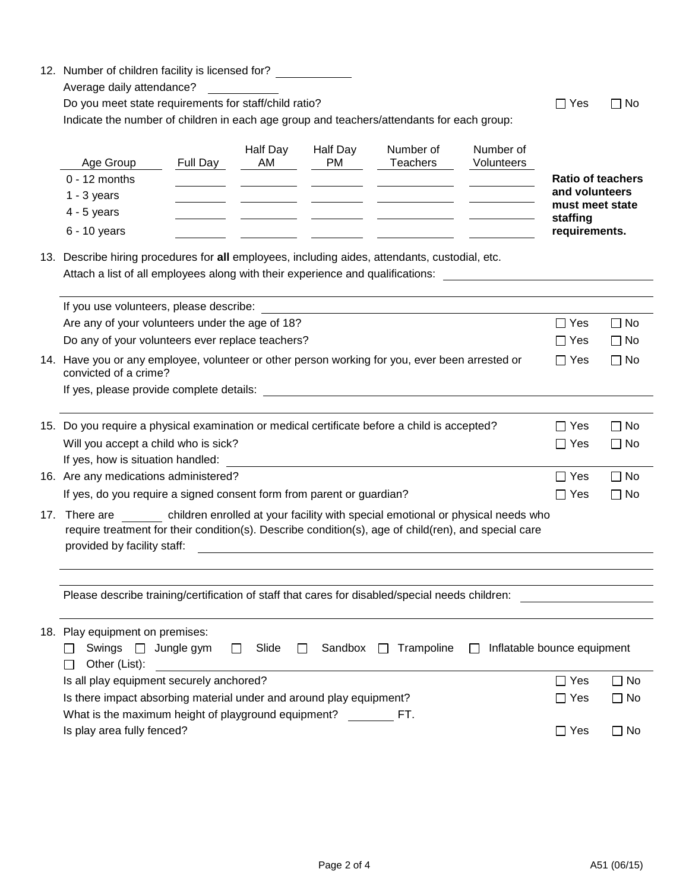|                                                                                                                                                                                                                                      | 12. Number of children facility is licensed for?<br>Average daily attendance?<br>Do you meet state requirements for staff/child ratio?<br>Indicate the number of children in each age group and teachers/attendants for each group:                                               |          |                       |                         | $\Box$ Yes                                                                          | $\Box$ No               |                                                                                            |                        |
|--------------------------------------------------------------------------------------------------------------------------------------------------------------------------------------------------------------------------------------|-----------------------------------------------------------------------------------------------------------------------------------------------------------------------------------------------------------------------------------------------------------------------------------|----------|-----------------------|-------------------------|-------------------------------------------------------------------------------------|-------------------------|--------------------------------------------------------------------------------------------|------------------------|
|                                                                                                                                                                                                                                      | Age Group<br>$0 - 12$ months<br>$1 - 3$ years<br>$4 - 5$ years<br>6 - 10 years                                                                                                                                                                                                    | Full Day | Half Day<br>AM        | Half Day<br><b>PM</b>   | Number of<br><b>Teachers</b><br><u> 1990 - Jan Alexandro III, politik politik (</u> | Number of<br>Volunteers | <b>Ratio of teachers</b><br>and volunteers<br>must meet state<br>staffing<br>requirements. |                        |
| 13. Describe hiring procedures for all employees, including aides, attendants, custodial, etc.<br>Attach a list of all employees along with their experience and qualifications:                                                     |                                                                                                                                                                                                                                                                                   |          |                       |                         |                                                                                     |                         |                                                                                            |                        |
|                                                                                                                                                                                                                                      |                                                                                                                                                                                                                                                                                   |          |                       |                         |                                                                                     |                         |                                                                                            |                        |
|                                                                                                                                                                                                                                      | If you use volunteers, please describe: example of the state of the state of the state of the state of the state of the state of the state of the state of the state of the state of the state of the state of the state of th<br>Are any of your volunteers under the age of 18? |          |                       |                         |                                                                                     |                         | $\Box$ Yes                                                                                 | $\Box$ No              |
|                                                                                                                                                                                                                                      | Do any of your volunteers ever replace teachers?                                                                                                                                                                                                                                  |          |                       |                         |                                                                                     |                         | $\Box$ Yes                                                                                 | $\Box$ No              |
|                                                                                                                                                                                                                                      | 14. Have you or any employee, volunteer or other person working for you, ever been arrested or<br>convicted of a crime?                                                                                                                                                           |          |                       |                         |                                                                                     |                         | $\Box$ Yes                                                                                 | $\Box$ No              |
|                                                                                                                                                                                                                                      |                                                                                                                                                                                                                                                                                   |          |                       |                         |                                                                                     |                         |                                                                                            |                        |
|                                                                                                                                                                                                                                      | 15. Do you require a physical examination or medical certificate before a child is accepted?<br>Will you accept a child who is sick?                                                                                                                                              |          |                       |                         |                                                                                     |                         | $\Box$ Yes<br>$\Box$ Yes                                                                   | $\Box$ No<br>$\Box$ No |
|                                                                                                                                                                                                                                      | If yes, how is situation handled:<br>16. Are any medications administered?                                                                                                                                                                                                        |          |                       |                         |                                                                                     |                         | $\Box$ Yes                                                                                 | $\Box$ No              |
|                                                                                                                                                                                                                                      | If yes, do you require a signed consent form from parent or guardian?                                                                                                                                                                                                             |          |                       |                         |                                                                                     |                         | $\Box$ Yes                                                                                 | $\Box$ No              |
| 17. There are children enrolled at your facility with special emotional or physical needs who<br>require treatment for their condition(s). Describe condition(s), age of child(ren), and special care<br>provided by facility staff: |                                                                                                                                                                                                                                                                                   |          |                       |                         |                                                                                     |                         |                                                                                            |                        |
|                                                                                                                                                                                                                                      | Please describe training/certification of staff that cares for disabled/special needs children:                                                                                                                                                                                   |          |                       |                         |                                                                                     |                         |                                                                                            |                        |
|                                                                                                                                                                                                                                      |                                                                                                                                                                                                                                                                                   |          |                       |                         |                                                                                     |                         |                                                                                            |                        |
|                                                                                                                                                                                                                                      | 18. Play equipment on premises:<br>Swings □ Jungle gym<br>Other (List):                                                                                                                                                                                                           |          | Slide<br>$\mathbf{L}$ | Sandbox<br>$\mathbf{L}$ | Trampoline<br>$\perp$                                                               | $\mathbf{1}$            | Inflatable bounce equipment                                                                |                        |
|                                                                                                                                                                                                                                      | Is all play equipment securely anchored?                                                                                                                                                                                                                                          |          |                       |                         |                                                                                     |                         | $\Box$ Yes                                                                                 | $\Box$ No              |
|                                                                                                                                                                                                                                      | Is there impact absorbing material under and around play equipment?<br>What is the maximum height of playground equipment? FT.                                                                                                                                                    |          |                       |                         |                                                                                     |                         | $\Box$ Yes                                                                                 | $\Box$ No              |
|                                                                                                                                                                                                                                      | Is play area fully fenced?                                                                                                                                                                                                                                                        |          |                       |                         |                                                                                     |                         | $\Box$ Yes                                                                                 | $\Box$ No              |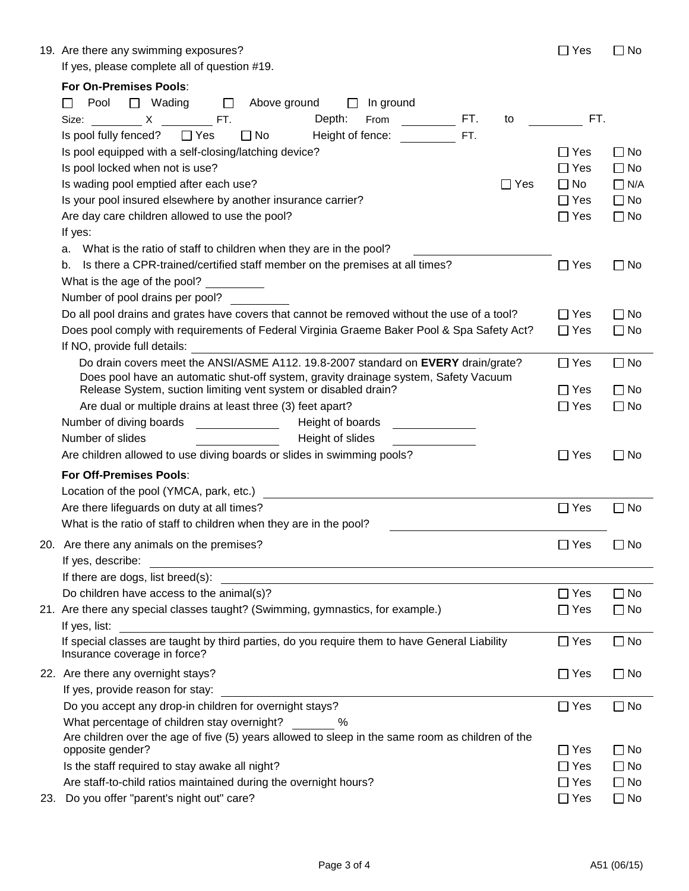| 19. Are there any swimming exposures?        | $\Box$ Yes | $\Box$ No |
|----------------------------------------------|------------|-----------|
| If yes, please complete all of question #19. |            |           |

|  |  | Yes |  | 1 No |
|--|--|-----|--|------|
|--|--|-----|--|------|

|     | For On-Premises Pools:                                                                                                                                                                                                                                               |               |              |
|-----|----------------------------------------------------------------------------------------------------------------------------------------------------------------------------------------------------------------------------------------------------------------------|---------------|--------------|
|     | □ Wading<br>Pool<br>Above ground<br>In ground<br>$\Box$<br>$\Box$<br>$\Box$                                                                                                                                                                                          |               |              |
|     | Depth:<br>FT.<br>Size: X FT.<br>From the control of the state of the state of the state of the state of the state of the state of the state of the state of the state of the state of the state of the state of the state of the state of the state of the sta<br>to | FT.           |              |
|     | Height of fence:<br>Is pool fully fenced? □ Yes<br>$\Box$ No<br>FT.                                                                                                                                                                                                  |               |              |
|     | Is pool equipped with a self-closing/latching device?                                                                                                                                                                                                                | ∏ Yes         | $\Box$ No    |
|     | Is pool locked when not is use?                                                                                                                                                                                                                                      | $\Box$ Yes    | $\Box$ No    |
|     | Is wading pool emptied after each use?<br>$\Box$ Yes                                                                                                                                                                                                                 | $\Box$ No     | $\Box$ N/A   |
|     | Is your pool insured elsewhere by another insurance carrier?                                                                                                                                                                                                         | $\Box$ Yes    | $\Box$ No    |
|     | Are day care children allowed to use the pool?                                                                                                                                                                                                                       | $\Box$ Yes    | $\square$ No |
|     | If yes:                                                                                                                                                                                                                                                              |               |              |
|     | a. What is the ratio of staff to children when they are in the pool?                                                                                                                                                                                                 |               |              |
|     | Is there a CPR-trained/certified staff member on the premises at all times?<br>b.                                                                                                                                                                                    | $\Box$ Yes    | $\square$ No |
|     | What is the age of the pool? _________                                                                                                                                                                                                                               |               |              |
|     | Number of pool drains per pool?                                                                                                                                                                                                                                      |               |              |
|     | Do all pool drains and grates have covers that cannot be removed without the use of a tool?                                                                                                                                                                          | $\Box$ Yes    | $\Box$ No    |
|     | Does pool comply with requirements of Federal Virginia Graeme Baker Pool & Spa Safety Act?                                                                                                                                                                           | $\Box$ Yes    | $\Box$ No    |
|     | If NO, provide full details: We have a series of the series of the series of the series of the series of the series of the series of the series of the series of the series of the series of the series of the series of the s                                       |               |              |
|     | Do drain covers meet the ANSI/ASME A112. 19.8-2007 standard on EVERY drain/grate?                                                                                                                                                                                    | $\Box$ Yes    | $\Box$ No    |
|     | Does pool have an automatic shut-off system, gravity drainage system, Safety Vacuum                                                                                                                                                                                  |               |              |
|     | Release System, suction limiting vent system or disabled drain?                                                                                                                                                                                                      | $\Box$ Yes    | $\Box$ No    |
|     | Are dual or multiple drains at least three (3) feet apart?                                                                                                                                                                                                           | $\Box$ Yes    | $\Box$ No    |
|     | Number of diving boards<br>Height of boards                                                                                                                                                                                                                          |               |              |
|     | Number of slides<br>Height of slides                                                                                                                                                                                                                                 |               |              |
|     | Are children allowed to use diving boards or slides in swimming pools?                                                                                                                                                                                               | $\Box$ Yes    | $\square$ No |
|     | For Off-Premises Pools:                                                                                                                                                                                                                                              |               |              |
|     |                                                                                                                                                                                                                                                                      |               |              |
|     | Are there lifeguards on duty at all times?                                                                                                                                                                                                                           | $\Box$ Yes    | $\Box$ No    |
|     | What is the ratio of staff to children when they are in the pool?                                                                                                                                                                                                    |               |              |
|     | 20. Are there any animals on the premises?                                                                                                                                                                                                                           | $\Box$ Yes    | $\Box$ No    |
|     | If yes, describe:<br><u> 1980 - Jan Barbara Barbara, prima popula</u>                                                                                                                                                                                                |               |              |
|     | If there are dogs, list breed(s):                                                                                                                                                                                                                                    |               |              |
|     | Do children have access to the animal(s)?                                                                                                                                                                                                                            | $\Box$ Yes    | $\Box$ No    |
|     | 21. Are there any special classes taught? (Swimming, gymnastics, for example.)                                                                                                                                                                                       | $\square$ Yes | $\Box$ No    |
|     | If yes, list:                                                                                                                                                                                                                                                        |               |              |
|     | If special classes are taught by third parties, do you require them to have General Liability                                                                                                                                                                        | $\Box$ Yes    | $\square$ No |
|     | Insurance coverage in force?                                                                                                                                                                                                                                         |               |              |
|     | 22. Are there any overnight stays?                                                                                                                                                                                                                                   | $\Box$ Yes    | $\Box$ No    |
|     | If yes, provide reason for stay:                                                                                                                                                                                                                                     |               |              |
|     | Do you accept any drop-in children for overnight stays?                                                                                                                                                                                                              | $\Box$ Yes    | $\Box$ No    |
|     | What percentage of children stay overnight?<br>$\%$                                                                                                                                                                                                                  |               |              |
|     | Are children over the age of five (5) years allowed to sleep in the same room as children of the                                                                                                                                                                     |               |              |
|     | opposite gender?                                                                                                                                                                                                                                                     | $\Box$ Yes    | $\square$ No |
|     | Is the staff required to stay awake all night?                                                                                                                                                                                                                       | $\Box$ Yes    | $\square$ No |
|     | Are staff-to-child ratios maintained during the overnight hours?                                                                                                                                                                                                     | $\Box$ Yes    | $\Box$ No    |
| 23. | Do you offer "parent's night out" care?                                                                                                                                                                                                                              | $\Box$ Yes    | $\Box$ No    |